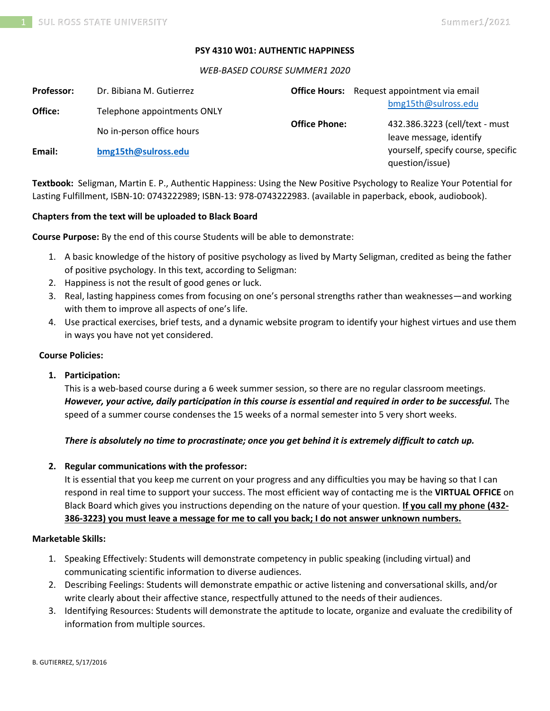## **PSY 4310 W01: AUTHENTIC HAPPINESS**

#### *WEB-BASED COURSE SUMMER1 2020*

| <b>Professor:</b> | Dr. Bibiana M. Gutierrez    |                      | <b>Office Hours:</b> Request appointment via email        |
|-------------------|-----------------------------|----------------------|-----------------------------------------------------------|
| Office:           | Telephone appointments ONLY |                      | bmg15th@sulross.edu                                       |
|                   | No in-person office hours   | <b>Office Phone:</b> | 432.386.3223 (cell/text - must<br>leave message, identify |
| Email:            | bmg15th@sulross.edu         |                      | yourself, specify course, specific<br>question/issue)     |

**Textbook:** Seligman, Martin E. P., Authentic Happiness: Using the New Positive Psychology to Realize Your Potential for Lasting Fulfillment, ISBN-10: 0743222989; ISBN-13: 978-0743222983. (available in paperback, ebook, audiobook).

## **Chapters from the text will be uploaded to Black Board**

**Course Purpose:** By the end of this course Students will be able to demonstrate:

- 1. A basic knowledge of the history of positive psychology as lived by Marty Seligman, credited as being the father of positive psychology. In this text, according to Seligman:
- 2. Happiness is not the result of good genes or luck.
- 3. Real, lasting happiness comes from focusing on one's personal strengths rather than weaknesses—and working with them to improve all aspects of one's life.
- 4. Use practical exercises, brief tests, and a dynamic website program to identify your highest virtues and use them in ways you have not yet considered.

#### **Course Policies:**

## **1. Participation:**

This is a web-based course during a 6 week summer session, so there are no regular classroom meetings. *However, your active, daily participation in this course is essential and required in order to be successful.* The speed of a summer course condenses the 15 weeks of a normal semester into 5 very short weeks.

## *There is absolutely no time to procrastinate; once you get behind it is extremely difficult to catch up.*

## **2. Regular communications with the professor:**

It is essential that you keep me current on your progress and any difficulties you may be having so that I can respond in real time to support your success. The most efficient way of contacting me is the **VIRTUAL OFFICE** on Black Board which gives you instructions depending on the nature of your question. **If you call my phone (432- 386-3223) you must leave a message for me to call you back; I do not answer unknown numbers.**

## **Marketable Skills:**

- 1. Speaking Effectively: Students will demonstrate competency in public speaking (including virtual) and communicating scientific information to diverse audiences.
- 2. Describing Feelings: Students will demonstrate empathic or active listening and conversational skills, and/or write clearly about their affective stance, respectfully attuned to the needs of their audiences.
- 3. Identifying Resources: Students will demonstrate the aptitude to locate, organize and evaluate the credibility of information from multiple sources.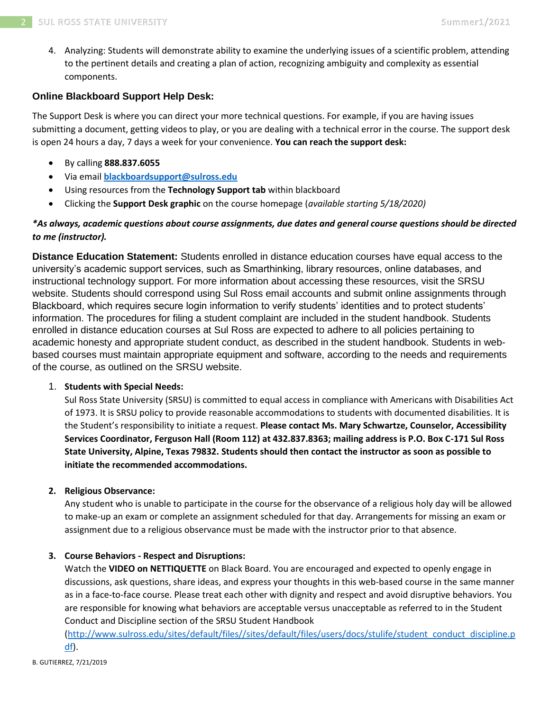4. Analyzing: Students will demonstrate ability to examine the underlying issues of a scientific problem, attending to the pertinent details and creating a plan of action, recognizing ambiguity and complexity as essential components.

# **Online Blackboard Support Help Desk:**

The Support Desk is where you can direct your more technical questions. For example, if you are having issues submitting a document, getting videos to play, or you are dealing with a technical error in the course. The support desk is open 24 hours a day, 7 days a week for your convenience. **You can reach the support desk:**

- By calling **888.837.6055**
- Via email **[blackboardsupport@sulross.edu](mailto:blackboardsupport@sulross.edu)**
- Using resources from the **Technology Support tab** within blackboard
- Clicking the **Support Desk graphic** on the course homepage (*available starting 5/18/2020)*

# *\*As always, academic questions about course assignments, due dates and general course questions should be directed to me (instructor).*

**Distance Education Statement:** Students enrolled in distance education courses have equal access to the university's academic support services, such as Smarthinking, library resources, online databases, and instructional technology support. For more information about accessing these resources, visit the SRSU website. Students should correspond using Sul Ross email accounts and submit online assignments through Blackboard, which requires secure login information to verify students' identities and to protect students' information. The procedures for filing a student complaint are included in the student handbook. Students enrolled in distance education courses at Sul Ross are expected to adhere to all policies pertaining to academic honesty and appropriate student conduct, as described in the student handbook. Students in webbased courses must maintain appropriate equipment and software, according to the needs and requirements of the course, as outlined on the SRSU website.

# 1. **Students with Special Needs:**

Sul Ross State University (SRSU) is committed to equal access in compliance with Americans with Disabilities Act of 1973. It is SRSU policy to provide reasonable accommodations to students with documented disabilities. It is the Student's responsibility to initiate a request. **Please contact Ms. Mary Schwartze, Counselor, Accessibility Services Coordinator, Ferguson Hall (Room 112) at 432.837.8363; mailing address is P.O. Box C-171 Sul Ross State University, Alpine, Texas 79832. Students should then contact the instructor as soon as possible to initiate the recommended accommodations.**

# **2. Religious Observance:**

Any student who is unable to participate in the course for the observance of a religious holy day will be allowed to make-up an exam or complete an assignment scheduled for that day. Arrangements for missing an exam or assignment due to a religious observance must be made with the instructor prior to that absence.

# **3. Course Behaviors - Respect and Disruptions:**

Watch the **VIDEO on NETTIQUETTE** on Black Board. You are encouraged and expected to openly engage in discussions, ask questions, share ideas, and express your thoughts in this web-based course in the same manner as in a face-to-face course. Please treat each other with dignity and respect and avoid disruptive behaviors. You are responsible for knowing what behaviors are acceptable versus unacceptable as referred to in the Student Conduct and Discipline section of the SRSU Student Handbook

[\(http://www.sulross.edu/sites/default/files//sites/default/files/users/docs/stulife/student\\_conduct\\_discipline.p](http://www.sulross.edu/sites/default/files/sites/default/files/users/docs/stulife/student_conduct_discipline.pdf) [df\)](http://www.sulross.edu/sites/default/files/sites/default/files/users/docs/stulife/student_conduct_discipline.pdf).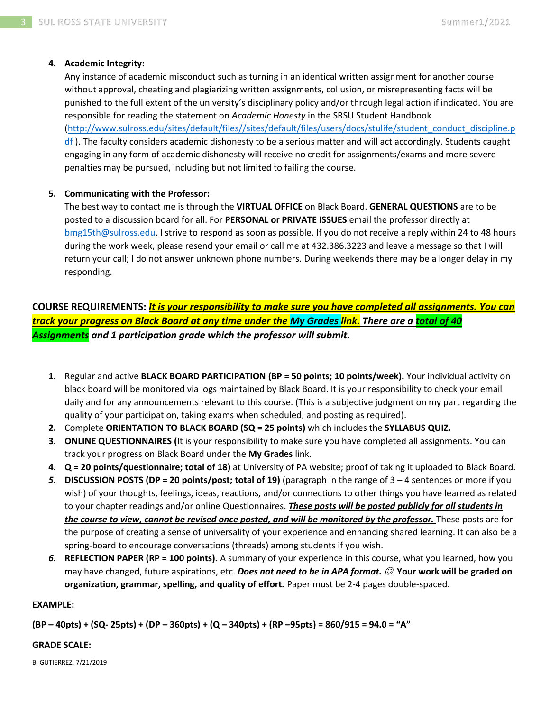## **4. Academic Integrity:**

Any instance of academic misconduct such as turning in an identical written assignment for another course without approval, cheating and plagiarizing written assignments, collusion, or misrepresenting facts will be punished to the full extent of the university's disciplinary policy and/or through legal action if indicated. You are responsible for reading the statement on *Academic Honesty* in the SRSU Student Handbook [\(http://www.sulross.edu/sites/default/files//sites/default/files/users/docs/stulife/student\\_conduct\\_discipline.p](http://www.sulross.edu/sites/default/files/sites/default/files/users/docs/stulife/student_conduct_discipline.pdf)  $df$ ). The faculty considers academic dishonesty to be a serious matter and will act accordingly. Students caught

engaging in any form of academic dishonesty will receive no credit for assignments/exams and more severe penalties may be pursued, including but not limited to failing the course.

## **5. Communicating with the Professor:**

The best way to contact me is through the **VIRTUAL OFFICE** on Black Board. **GENERAL QUESTIONS** are to be posted to a discussion board for all. For **PERSONAL or PRIVATE ISSUES** email the professor directly at [bmg15th@sulross.edu.](mailto:bmg15th@sulross.edu) I strive to respond as soon as possible. If you do not receive a reply within 24 to 48 hours during the work week, please resend your email or call me at 432.386.3223 and leave a message so that I will return your call; I do not answer unknown phone numbers. During weekends there may be a longer delay in my responding.

**COURSE REQUIREMENTS:** *It is your responsibility to make sure you have completed all assignments. You can track your progress on Black Board at any time under the My Grades link. There are a total of 40 Assignments and 1 participation grade which the professor will submit.*

- **1.** Regular and active **BLACK BOARD PARTICIPATION (BP = 50 points; 10 points/week).** Your individual activity on black board will be monitored via logs maintained by Black Board. It is your responsibility to check your email daily and for any announcements relevant to this course. (This is a subjective judgment on my part regarding the quality of your participation, taking exams when scheduled, and posting as required).
- **2.** Complete **ORIENTATION TO BLACK BOARD (SQ = 25 points)** which includes the **SYLLABUS QUIZ.**
- **3. ONLINE QUESTIONNAIRES (**It is your responsibility to make sure you have completed all assignments. You can track your progress on Black Board under the **My Grades** link.
- **4. Q = 20 points/questionnaire; total of 18)** at University of PA website; proof of taking it uploaded to Black Board.
- *5.* **DISCUSSION POSTS (DP = 20 points/post; total of 19)** (paragraph in the range of 3 4 sentences or more if you wish) of your thoughts, feelings, ideas, reactions, and/or connections to other things you have learned as related to your chapter readings and/or online Questionnaires. *These posts will be posted publicly for all students in the course to view, cannot be revised once posted, and will be monitored by the professor.* These posts are for the purpose of creating a sense of universality of your experience and enhancing shared learning. It can also be a spring-board to encourage conversations (threads) among students if you wish.
- *6.* **REFLECTION PAPER (RP = 100 points).** A summary of your experience in this course, what you learned, how you may have changed, future aspirations, etc. *Does not need to be in APA format.* ☺ **Your work will be graded on organization, grammar, spelling, and quality of effort.** Paper must be 2-4 pages double-spaced.

## **EXAMPLE:**

**(BP – 40pts) + (SQ- 25pts) + (DP – 360pts) + (Q – 340pts) + (RP –95pts) = 860/915 = 94.0 = "A"**

## **GRADE SCALE:**

B. GUTIERREZ, 7/21/2019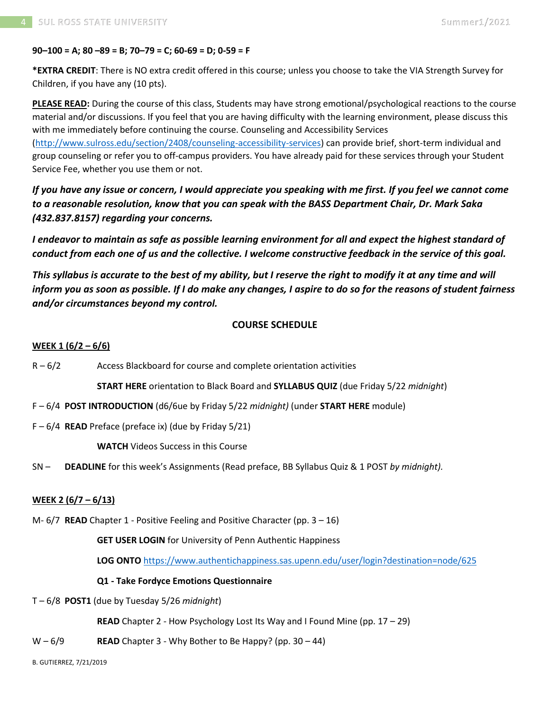## **90–100 = A; 80 –89 = B; 70–79 = C; 60-69 = D; 0-59 = F**

**\*EXTRA CREDIT**: There is NO extra credit offered in this course; unless you choose to take the VIA Strength Survey for Children, if you have any (10 pts).

**PLEASE READ:** During the course of this class, Students may have strong emotional/psychological reactions to the course material and/or discussions. If you feel that you are having difficulty with the learning environment, please discuss this with me immediately before continuing the course. Counseling and Accessibility Services [\(http://www.sulross.edu/section/2408/counseling-accessibility-services\)](http://www.sulross.edu/section/2408/counseling-accessibility-services) can provide brief, short-term individual and

group counseling or refer you to off-campus providers. You have already paid for these services through your Student Service Fee, whether you use them or not.

*If you have any issue or concern, I would appreciate you speaking with me first. If you feel we cannot come to a reasonable resolution, know that you can speak with the BASS Department Chair, Dr. Mark Saka (432.837.8157) regarding your concerns.*

*I endeavor to maintain as safe as possible learning environment for all and expect the highest standard of conduct from each one of us and the collective. I welcome constructive feedback in the service of this goal.*

*This syllabus is accurate to the best of my ability, but I reserve the right to modify it at any time and will inform you as soon as possible. If I do make any changes, I aspire to do so for the reasons of student fairness and/or circumstances beyond my control.*

# **COURSE SCHEDULE**

## **WEEK 1 (6/2 – 6/6)**

 $R - 6/2$  Access Blackboard for course and complete orientation activities

**START HERE** orientation to Black Board and **SYLLABUS QUIZ** (due Friday 5/22 *midnight*)

- F 6/4 **POST INTRODUCTION** (d6/6ue by Friday 5/22 *midnight)* (under **START HERE** module)
- F 6/4 **READ** Preface (preface ix) (due by Friday 5/21)

**WATCH** Videos Success in this Course

SN – **DEADLINE** for this week's Assignments (Read preface, BB Syllabus Quiz & 1 POST *by midnight).* 

## **WEEK 2 (6/7 – 6/13)**

M- 6/7 **READ** Chapter 1 - Positive Feeling and Positive Character (pp. 3 – 16)

## **GET USER LOGIN** for University of Penn Authentic Happiness

**LOG ONTO** <https://www.authentichappiness.sas.upenn.edu/user/login?destination=node/625>

## **Q1 - Take Fordyce Emotions Questionnaire**

T – 6/8 **POST1** (due by Tuesday 5/26 *midnight*)

**READ** Chapter 2 - How Psychology Lost Its Way and I Found Mine (pp. 17 – 29)

 $W - 6/9$  **READ** Chapter 3 - Why Bother to Be Happy? (pp. 30 – 44)

B. GUTIERREZ, 7/21/2019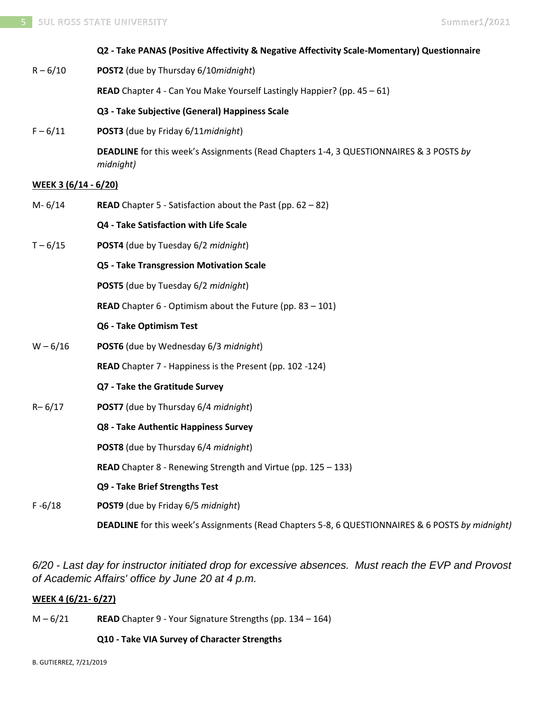# **Q2 - Take PANAS (Positive Affectivity & Negative Affectivity Scale-Momentary) Questionnaire** R – 6/10 **POST2** (due by Thursday 6/10*midnight*) **READ** Chapter 4 - Can You Make Yourself Lastingly Happier? (pp. 45 – 61) **Q3 - Take Subjective (General) Happiness Scale** F – 6/11 **POST3** (due by Friday 6/11*midnight*) **DEADLINE** for this week's Assignments (Read Chapters 1-4, 3 QUESTIONNAIRES & 3 POSTS *by midnight)* **WEEK 3 (6/14 - 6/20)** M- 6/14 **READ** Chapter 5 - Satisfaction about the Past (pp. 62 – 82) **Q4 - Take Satisfaction with Life Scale** T – 6/15 **POST4** (due by Tuesday 6/2 *midnight*) **Q5 - Take Transgression Motivation Scale POST5** (due by Tuesday 6/2 *midnight*) **READ** Chapter 6 - Optimism about the Future (pp. 83 – 101) **Q6 - Take Optimism Test** W – 6/16 **POST6** (due by Wednesday 6/3 *midnight*) **READ** Chapter 7 - Happiness is the Present (pp. 102 -124) **Q7 - Take the Gratitude Survey** R– 6/17 **POST7** (due by Thursday 6/4 *midnight*) **Q8 - Take Authentic Happiness Survey POST8** (due by Thursday 6/4 *midnight*) **READ** Chapter 8 - Renewing Strength and Virtue (pp. 125 – 133) **Q9 - Take Brief Strengths Test** F -6/18 **POST9** (due by Friday 6/5 *midnight*)

*6/20 - Last day for instructor initiated drop for excessive absences. Must reach the EVP and Provost of Academic Affairs' office by June 20 at 4 p.m.*

**DEADLINE** for this week's Assignments (Read Chapters 5-8, 6 QUESTIONNAIRES & 6 POSTS *by midnight)*

# **WEEK 4 (6/21- 6/27)**

M – 6/21 **READ** Chapter 9 - Your Signature Strengths (pp. 134 – 164)

## **Q10 - Take VIA Survey of Character Strengths**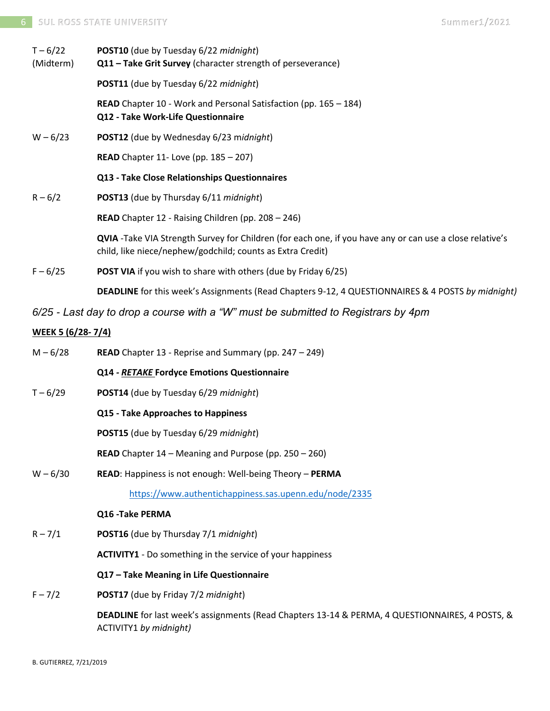| $T - 6/22$<br>(Midterm) | <b>POST10</b> (due by Tuesday 6/22 midnight)<br>Q11 - Take Grit Survey (character strength of perseverance)                                                            |  |  |
|-------------------------|------------------------------------------------------------------------------------------------------------------------------------------------------------------------|--|--|
|                         | <b>POST11</b> (due by Tuesday 6/22 midnight)                                                                                                                           |  |  |
|                         | <b>READ</b> Chapter 10 - Work and Personal Satisfaction (pp. 165 – 184)<br>Q12 - Take Work-Life Questionnaire                                                          |  |  |
| $W - 6/23$              | POST12 (due by Wednesday 6/23 midnight)                                                                                                                                |  |  |
|                         | <b>READ</b> Chapter 11- Love (pp. 185 - 207)                                                                                                                           |  |  |
|                         | Q13 - Take Close Relationships Questionnaires                                                                                                                          |  |  |
| $R - 6/2$               | POST13 (due by Thursday 6/11 midnight)                                                                                                                                 |  |  |
|                         | <b>READ</b> Chapter 12 - Raising Children (pp. $208 - 246$ )                                                                                                           |  |  |
|                         | QVIA -Take VIA Strength Survey for Children (for each one, if you have any or can use a close relative's<br>child, like niece/nephew/godchild; counts as Extra Credit) |  |  |
| $F - 6/25$              | <b>POST VIA</b> if you wish to share with others (due by Friday 6/25)                                                                                                  |  |  |
|                         | <b>DEADLINE</b> for this week's Assignments (Read Chapters 9-12, 4 QUESTIONNAIRES & 4 POSTS by midnight)                                                               |  |  |

*6/25 - Last day to drop a course with a "W" must be submitted to Registrars by 4pm*

# **WEEK 5 (6/28- 7/4)**

M – 6/28 **READ** Chapter 13 - Reprise and Summary (pp. 247 – 249)

## **Q14** *- RETAKE* **Fordyce Emotions Questionnaire**

T – 6/29 **POST14** (due by Tuesday 6/29 *midnight*)

## **Q15 - Take Approaches to Happiness**

**POST15** (due by Tuesday 6/29 *midnight*)

**READ** Chapter 14 – Meaning and Purpose (pp. 250 – 260)

W – 6/30 **READ**: Happiness is not enough: Well-being Theory – **PERMA**

<https://www.authentichappiness.sas.upenn.edu/node/2335>

## **Q16 -Take PERMA**

R – 7/1 **POST16** (due by Thursday 7/1 *midnight*)

**ACTIVITY1** - Do something in the service of your happiness

## **Q17 – Take Meaning in Life Questionnaire**

F – 7/2 **POST17** (due by Friday 7/2 *midnight*)

**DEADLINE** for last week's assignments (Read Chapters 13-14 & PERMA, 4 QUESTIONNAIRES, 4 POSTS, & ACTIVITY1 *by midnight)*